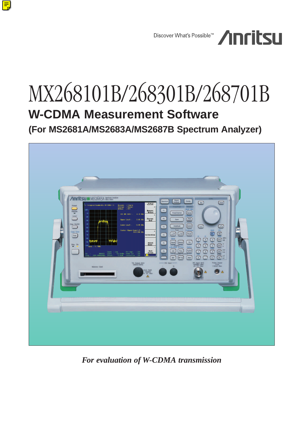

# MX268101B/268301B/268701B **W-CDMA Measurement Software (For MS2681A/MS2683A/MS2687B Spectrum Analyzer)**



*For evaluation of W-CDMA transmission*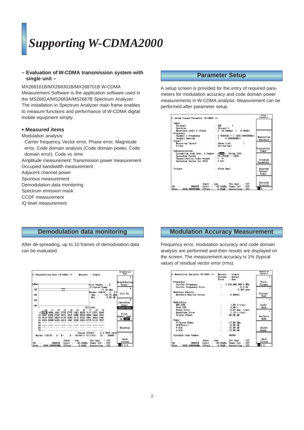# *Supporting W-CDMA2000*

#### **– Evaluation of W-CDMA transmission system with single unit –**

MX268101B/MX268301B/MX268701B W-CDMA Measurement Software is the application software used in the MS2681A/MS2683A/MS2687B Spectrum Analyzer. The installation in Spectrum Analyzer main frame enables to measure functions and performance of W-CDMA digital mobile equipment simply.

#### **• Measured items**

Modulation analysis:

Carrier frequency, Vector error, Phase error, Magnitude error, Code domain analysis (Code domain power, Code domain error), Code vs. time

Amplitude measurement: Transmission power measurement

- Occupied bandwidth measurement
- Adjacent channel power
- Spurious measurement
- Demodulation data monitoring
- Spectrum emission mask
- CCDF measurement
- IQ level measurement

## **Parameter Setup**

A setup screen is provided for the entry of required parameters for modulation accuracy and code domain power measurements in W-CDMA analysis. Measurement can be performed after parameter setup.

| K< Setup Common Parameter (W-CDMA) >>                                                                                                                                  |                                                                                                                                                           | Setup<br>Paraneter                            |
|------------------------------------------------------------------------------------------------------------------------------------------------------------------------|-----------------------------------------------------------------------------------------------------------------------------------------------------------|-----------------------------------------------|
| Input<br>Terminal<br><b>Spectrum</b><br>Reference Level & Offset<br>Frequency<br>Channel & Frequency<br>Channel Spacing<br>Signal<br>Measuring Object                  | : ERF<br>: [Normal ]<br>$: 1 - 22.00$ dBml I<br>0.00dB1<br>: $[ 9600CH] = [ 1920.00000000000]$<br>$\cdot$ T $\cdot$<br>0.200000MHz J<br>: IDown Link<br>ı | Modulation<br>Analysis                        |
| Filter<br>Synchronization<br>Scrambling Code Sync. & Number : [Auto] (Using SCH)<br>Spreading Factor<br>Channelization Codes Number : (0)<br>Spreading Factor for DPCH | : [Filtering]<br>: $IP-CPICH1 = (256)$<br>$:$ [ 64]                                                                                                       | Transmitter<br>Power<br>Occupied<br>Bandwidth |
| Trigger                                                                                                                                                                | : [Free Run]                                                                                                                                              | Adjacent<br>Channel<br>Power                  |
| Input<br>Level<br>Сh<br>9600CH<br>1920 000000MHz<br><b>Offset</b><br>Freq                                                                                              | Pre Ampl<br>: Low<br>: Off<br>Power Cal<br>$.$ Off<br>-22.00dBm<br>0.00dB<br>Correction : Off                                                             | Spur ious<br>Emission<br>2                    |

# **Demodulation data monitoring**

After de-spreading, up to 10 frames of demodulation data can be evaluated.



# **Modulation Accuracy Measurement**

Frequency error, modulation accuracy and code domain analysis are performed and then results are displayed on the screen. The measurement accuracy is 1% (typical value) of residual vector error (rms).

| K< Modulation Analysis (W-CDMA) >> | : Single<br>Measure               | Modulation<br><b>Analysis</b> |
|------------------------------------|-----------------------------------|-------------------------------|
|                                    | : Normal<br>Storage               | #                             |
|                                    | : Non<br>Trace                    |                               |
| Frequency                          |                                   | Trace                         |
| Carrier Frequency                  | 1919.9999996 MHz                  | Format                        |
| Carrier Frequency Error            | $-0.4$ Hz                         | ×.                            |
|                                    | $0.000$ ppm                       |                               |
| Waveform Quality                   |                                   | <b>Storage</b>                |
| Waveform Quality Factor            | 0.99943<br>÷                      | Mode                          |
|                                    |                                   | ж                             |
| Modulation                         |                                   |                               |
| <b>RMS EVM</b>                     | $1.63\%$ (rms)                    | Scale                         |
| Peak EVM                           | 4.69 %                            | Mode                          |
| <b>Phase Error</b>                 | $0.67$ deg. $(r_{\text{BS}})$     | $\mathbf{x}$                  |
| Magnitude Error                    | $1.13 \times (rms)$               |                               |
| Origin Offset                      | $-35.26$ dB                       | Analysis                      |
|                                    |                                   | Mode                          |
| Power                              |                                   |                               |
| Filtered Power                     | $-17.80$ dBn                      |                               |
| SCH(Total)<br>P-SCH                | $-9.88$ dB                        |                               |
| S-SCH                              | $-12.89$ dB<br>$-12.89$ dB        | Adjust                        |
|                                    |                                   | Range                         |
| Scramble Code Number               | 00000<br>÷                        |                               |
|                                    |                                   | Back                          |
| $:$ Low<br>Input                   | Pre Ampl<br>: Off                 | Screen                        |
| <b>9600CH</b><br>Сħ<br>Leve I      | $.0$ ff<br>-22.00dBm<br>Power Cal |                               |
| 1920.000000MHz<br>Offset<br>Freq:  | Correction : Off<br>0.00dB        | 123                           |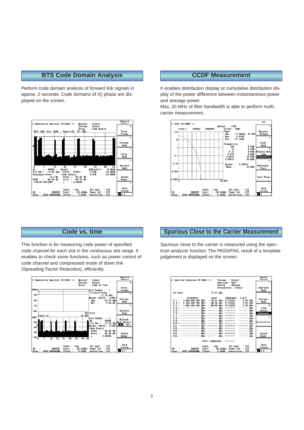## **BTS Code Domain Analysis**

Perform code domain analysis of forward link signals in approx. 2 seconds. Code domains of IQ phase are displayed on the screen.



#### **CCDF Measurement**

It enables distribution display or cumulative distribution display of the power difference between instantaneous power and average power.

Max. 20 MHz of filter bandwidth is able to perform multicarrier measurement.



#### **Code vs. time**

This function is for measuring code power of specified code channel for each slot in the continuous slot range. It enables to check some functions, such as power control of code channel and compressed mode of down link (Spreading Factor Reduction), efficiently.



## **Spurious Close to the Carrier Measurement**

Spurious close to the carrier is measured using the spectrum analyzer function. The PASS/FAIL result of a template judgement is displayed on the screen.

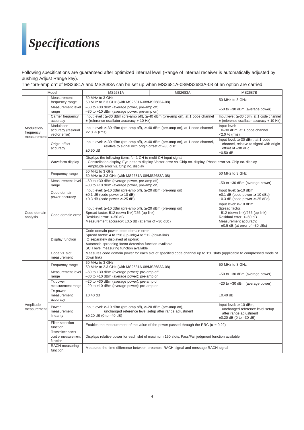# *Specifications*

Following specifications are guaranteed after optimized internal level (Range of internal receiver is automatically adjusted by pushing Adjust Range key).

The "pre-amp on" of MS2681A and MS2683A can be set up when MS2681A-08/MS2683A-08 of an option are carried.

|                          | Model                               | <b>MS2681A</b>                                                                                                                                           | <b>MS2683A</b>                                                                              | <b>MS2687B</b>                                                                     |  |
|--------------------------|-------------------------------------|----------------------------------------------------------------------------------------------------------------------------------------------------------|---------------------------------------------------------------------------------------------|------------------------------------------------------------------------------------|--|
| Measurement              |                                     | 50 MHz to 3 GHz                                                                                                                                          |                                                                                             |                                                                                    |  |
|                          | frequency range                     | 50 MHz to 2.3 GHz (with MS2681A-08/MS2683A-08)                                                                                                           | 50 MHz to 3 GHz                                                                             |                                                                                    |  |
|                          | Measurement level                   | -60 to +30 dBm (average power, pre-amp off)                                                                                                              |                                                                                             |                                                                                    |  |
|                          | range                               | -80 to +10 dBm (average power, pre-amp on)                                                                                                               |                                                                                             | $-50$ to $+30$ dBm (average power)                                                 |  |
|                          | Carrier frequency                   |                                                                                                                                                          | Input level : $\ge$ -30 dBm (pre-amp off), $\ge$ -40 dBm (pre-amp on), at 1 code channel    | Input level: ≥-30 dBm, at 1 code channel                                           |  |
|                          | accuracy                            | $\pm$ (reference oscillator accuracy + 10 Hz)                                                                                                            | $\pm$ (reference oscillator accuracy + 10 Hz)                                               |                                                                                    |  |
| Modulation/              | Modulation                          | Input level: $\geq$ 30 dBm (pre-amp off), $\geq$ 40 dBm (pre-amp on), at 1 code channel<br>$<$ 2.0 % (rms)                                               |                                                                                             | Input level:                                                                       |  |
| frequency                | accuracy (residual<br>vector error) |                                                                                                                                                          |                                                                                             | $\geq$ -30 dBm, at 1 code channel<br>$<$ 2.0 % (rms)                               |  |
| measurement              |                                     |                                                                                                                                                          |                                                                                             | Input level: ≥-30 dBm, at 1 code                                                   |  |
|                          | Origin offset<br>accuracy           |                                                                                                                                                          | Input level: ≥-30 dBm (pre-amp off), ≥-40 dBm (pre-amp on), at 1 code channel,              | channel, relative to signal with origin                                            |  |
|                          |                                     | relative to signal with origin offset of -30 dBc<br>$\pm 0.50$ dB                                                                                        |                                                                                             | offset of -30 dBc                                                                  |  |
|                          |                                     |                                                                                                                                                          |                                                                                             | $\pm 0.50$ dB                                                                      |  |
|                          |                                     | Displays the following items for 1 CH to multi-CH input signal.                                                                                          |                                                                                             |                                                                                    |  |
|                          | Waveform display                    | Constellation display, Eye pattern display, Vector error vs. Chip no. display, Phase error vs. Chip no. display,<br>Amplitude error vs. Chip no. display |                                                                                             |                                                                                    |  |
|                          |                                     | 50 MHz to 3 GHz                                                                                                                                          |                                                                                             |                                                                                    |  |
|                          | Frequency range                     | 50 MHz to 2.3 GHz (with MS2681A-08/MS2683A-08)                                                                                                           |                                                                                             | 50 MHz to 3 GHz                                                                    |  |
|                          | Measurement level                   | -60 to +30 dBm (average power, pre-amp off)                                                                                                              |                                                                                             | -50 to +30 dBm (average power)                                                     |  |
|                          | range                               | -80 to +10 dBm (average power, pre-amp on)                                                                                                               |                                                                                             |                                                                                    |  |
|                          | Code domain                         | Input level: ≥-10 dBm (pre-amp off), ≥-20 dBm (pre-amp on)                                                                                               |                                                                                             | Input level: ≥-10 dBm                                                              |  |
|                          | power accuracy                      | $\pm 0.1$ dB (code power $\geq -10$ dB)<br>$\pm 0.3$ dB (code power $\geq -25$ dB)                                                                       |                                                                                             | $\pm 0.1$ dB (code power $\ge -10$ dBc)<br>$\pm 0.3$ dB (code power $\ge -25$ dBc) |  |
|                          |                                     |                                                                                                                                                          |                                                                                             | Input level: ≥-10 dBm                                                              |  |
|                          | Code domain error                   | Input level: $\geq -10$ dBm (pre-amp off), $\geq -20$ dBm (pre-amp on)                                                                                   |                                                                                             | Spread factor:                                                                     |  |
| Code domain              |                                     | Spread factor: 512 (down-link)/256 (up-link)                                                                                                             |                                                                                             | 512 (down-link)/256 (up-link)                                                      |  |
| analysis                 |                                     | Residual error: <- 50 dB                                                                                                                                 |                                                                                             | Residual error: <- 50 dB                                                           |  |
|                          |                                     | Measurement accuracy: $\pm 0.5$ dB (at error of $-30$ dBc)                                                                                               |                                                                                             | Measurement accuracy:                                                              |  |
|                          |                                     | Code domain power, code domain error                                                                                                                     |                                                                                             | $\pm 0.5$ dB (at error of $-30$ dBc)                                               |  |
|                          |                                     | Spread factor: 4 to 256 (up-link)/4 to 512 (down-link)                                                                                                   |                                                                                             |                                                                                    |  |
|                          | Display function                    | IQ separately displayed at up-link                                                                                                                       |                                                                                             |                                                                                    |  |
|                          |                                     | Automatic spreading factor detection function available                                                                                                  |                                                                                             |                                                                                    |  |
|                          |                                     | SCH level measuring function available                                                                                                                   |                                                                                             |                                                                                    |  |
|                          | Code vs. slot<br>measurement        | Measures code domain power for each slot of specified code channel up to 150 slots (applicable to compressed mode of<br>down link)                       |                                                                                             |                                                                                    |  |
|                          |                                     | 50 MHz to 3 GHz                                                                                                                                          |                                                                                             |                                                                                    |  |
|                          | Frequency range                     | 50 MHz to 2.3 GHz (with MS2681A-08/MS2683A-08)                                                                                                           |                                                                                             | 50 MHz to 3 GHz                                                                    |  |
|                          | Measurement level                   | -60 to +30 dBm (average power): pre-amp off                                                                                                              |                                                                                             | -50 to +30 dBm (average power)                                                     |  |
|                          | range                               | -80 to +10 dBm (average power): pre-amp on                                                                                                               |                                                                                             |                                                                                    |  |
|                          | Tx power                            | -20 to +30 dBm (average power): pre-amp off                                                                                                              |                                                                                             | $-20$ to $+30$ dBm (average power)                                                 |  |
|                          | measurement range                   | -20 to +10 dBm (average power): pre-amp on                                                                                                               |                                                                                             |                                                                                    |  |
|                          | Tx power<br>measurement             | $\pm 0.40$ dB                                                                                                                                            |                                                                                             | $±0.40$ dB                                                                         |  |
| Amplitude<br>measurement | accuracy                            |                                                                                                                                                          |                                                                                             |                                                                                    |  |
|                          |                                     |                                                                                                                                                          |                                                                                             | Input level: $\geq -10$ dBm,                                                       |  |
|                          | Power<br>measurement<br>linearity   | Input level: $\geq -10$ dBm (pre-amp off), $\geq -20$ dBm (pre-amp on),<br>unchanged reference level setup after range adjustment                        |                                                                                             | unchanged reference level setup                                                    |  |
|                          |                                     | $\pm 0.20$ dB (0 to $-40$ dB)                                                                                                                            |                                                                                             | after range adjustment                                                             |  |
|                          | Filter selection                    |                                                                                                                                                          |                                                                                             | $\pm 0.20$ dB (0 to $-30$ dB)                                                      |  |
|                          | function                            |                                                                                                                                                          | Enables the measurement of the value of the power passed through the RRC ( $\alpha$ = 0.22) |                                                                                    |  |
|                          | Transmitter power                   |                                                                                                                                                          |                                                                                             |                                                                                    |  |
|                          | control measurement                 | Displays relative power for each slot of maximum 150 slots. Pass/Fail judgment function available.                                                       |                                                                                             |                                                                                    |  |
|                          | function                            |                                                                                                                                                          |                                                                                             |                                                                                    |  |
|                          | RACH measuring                      | Measures the time difference between preamble RACH signal and message RACH signal                                                                        |                                                                                             |                                                                                    |  |
|                          | function                            |                                                                                                                                                          |                                                                                             |                                                                                    |  |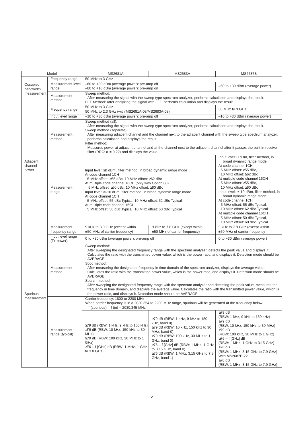|                              | Model                           | <b>MS2681A</b>                                                                                                                                                                                                                                                                                                                                                                                                                                                                                                                                                                                                                                                                                                                                                                                                                                                                                       | <b>MS2683A</b>                                                                                                                                                                                                                                                                                | <b>MS2687B</b>                                                                                                                                                                                                                                                                                                                                                                                                                                                                                        |  |
|------------------------------|---------------------------------|------------------------------------------------------------------------------------------------------------------------------------------------------------------------------------------------------------------------------------------------------------------------------------------------------------------------------------------------------------------------------------------------------------------------------------------------------------------------------------------------------------------------------------------------------------------------------------------------------------------------------------------------------------------------------------------------------------------------------------------------------------------------------------------------------------------------------------------------------------------------------------------------------|-----------------------------------------------------------------------------------------------------------------------------------------------------------------------------------------------------------------------------------------------------------------------------------------------|-------------------------------------------------------------------------------------------------------------------------------------------------------------------------------------------------------------------------------------------------------------------------------------------------------------------------------------------------------------------------------------------------------------------------------------------------------------------------------------------------------|--|
|                              | Frequency range                 | 50 MHz to 3 GHz                                                                                                                                                                                                                                                                                                                                                                                                                                                                                                                                                                                                                                                                                                                                                                                                                                                                                      |                                                                                                                                                                                                                                                                                               |                                                                                                                                                                                                                                                                                                                                                                                                                                                                                                       |  |
| Occupied<br>bandwidth        | Measurement level<br>range      | -60 to +30 dBm (average power): pre-amp off<br>-80 to +10 dBm (average power): pre-amp on                                                                                                                                                                                                                                                                                                                                                                                                                                                                                                                                                                                                                                                                                                                                                                                                            |                                                                                                                                                                                                                                                                                               | $-50$ to $+30$ dBm (average power)                                                                                                                                                                                                                                                                                                                                                                                                                                                                    |  |
| measurement                  | Measurement<br>method           | Sweep method:<br>After measuring the signal with the sweep type spectrum analyzer, performs calculation and displays the result.<br>FFT Method: After analyzing the signal with FFT, performs calculation and displays the result.                                                                                                                                                                                                                                                                                                                                                                                                                                                                                                                                                                                                                                                                   |                                                                                                                                                                                                                                                                                               |                                                                                                                                                                                                                                                                                                                                                                                                                                                                                                       |  |
|                              | Frequency range                 | 50 MHz to 3 GHz<br>50 MHz to 2.3 GHz (with MS2681A-08/MS2683A-08)                                                                                                                                                                                                                                                                                                                                                                                                                                                                                                                                                                                                                                                                                                                                                                                                                                    |                                                                                                                                                                                                                                                                                               | 50 MHz to 3 GHz                                                                                                                                                                                                                                                                                                                                                                                                                                                                                       |  |
|                              | Input level range               | $-10$ to $+30$ dBm (average power): pre-amp off                                                                                                                                                                                                                                                                                                                                                                                                                                                                                                                                                                                                                                                                                                                                                                                                                                                      |                                                                                                                                                                                                                                                                                               | $-10$ to $+30$ dBm (average power)                                                                                                                                                                                                                                                                                                                                                                                                                                                                    |  |
| Adjacent<br>channel<br>power | Measurement<br>method           | Sweep method (all):<br>After measuring the signal with the sweep type spectrum analyzer, performs calculation and displays the result.<br>Sweep method (separate):<br>After measuring adjacent channel and the channel next to the adjacent channel with the sweep type spectrum analyzer,<br>performs calculation and displays the result.<br>Filter method:<br>Measures power at adjacent channel and at the channel next to the adjacent channel after it passes the built-in receive<br>filter (RRC: $\alpha$ = 0.22) and displays the value.                                                                                                                                                                                                                                                                                                                                                    |                                                                                                                                                                                                                                                                                               |                                                                                                                                                                                                                                                                                                                                                                                                                                                                                                       |  |
|                              | Measurement<br>range            | Input level: $\geq 0$ dBm, filter method, in broad dynamic range mode<br>At code channel 1CH<br>5 MHz offset: ≥55 dBc, 10 MHz offset: ≥62 dBc<br>At multiple code channel 16CH (only with Option 08)<br>5 MHz offset: ≥50 dBc, 10 MHz offset: ≥60 dBc<br>Input level: ≥-10 dBm, filter method, in broad dynamic range mode<br>At code channel 1CH<br>5 MHz offset: 55 dBc Typical, 10 MHz offset: 62 dBc Typical<br>At multiple code channel 16CH<br>5 MHz offset: 50 dBc Typical, 10 MHz offset: 60 dBc Typical                                                                                                                                                                                                                                                                                                                                                                                     |                                                                                                                                                                                                                                                                                               | Input level: 0 dBm, filter method, in<br>broad dynamic range mode<br>At code channel 1CH<br>5 MHz offset: ≥55 dBc,<br>10 MHz offset: ≥62 dBc<br>At multiple code channel 16CH<br>5 MHz offset: ≥55 dBc,<br>10 MHz offset: ≥60 dBc<br>Input level: ≥-10 dBm, filter method, in<br>broad dynamic range mode<br>At code channel 1CH<br>5 MHz offset: 55 dBc Typical,<br>10 MHz offset: 62 dBc Typical<br>At multiple code channel 16CH<br>5 MHz offset: 50 dBc Typical,<br>10 MHz offset: 60 dBc Typical |  |
|                              | Measurement<br>frequency range  | 9 kHz to 3.0 GHz (except within<br>±50 MHz of carrier frequency)                                                                                                                                                                                                                                                                                                                                                                                                                                                                                                                                                                                                                                                                                                                                                                                                                                     | 9 kHz to 7.8 GHz (except within<br>$±50$ MHz of carrier frequency)                                                                                                                                                                                                                            | 9 kHz to 7.9 GHz (except within<br>±50 MHz of carrier frequency                                                                                                                                                                                                                                                                                                                                                                                                                                       |  |
|                              | Input level range<br>(Tx power) | 0 to +30 dBm (average power): pre-amp off                                                                                                                                                                                                                                                                                                                                                                                                                                                                                                                                                                                                                                                                                                                                                                                                                                                            |                                                                                                                                                                                                                                                                                               | 0 to +30 dBm (average power)                                                                                                                                                                                                                                                                                                                                                                                                                                                                          |  |
| Spurious                     | Measurement<br>method           | Sweep method:<br>After sweeping the designated frequency range with the spectrum analyzer, detects the peak value and displays it.<br>Calculates the ratio with the transmitted power value, which is the power ratio, and displays it. Detection mode should be<br>AVERAGE.<br>Spot method:<br>After measuring the designated frequency in time domain of the spectrum analyzer, displays the average value.<br>Calculates the ratio with the transmitted power value, which is the power ratio, and displays it. Detection mode should be<br>AVERAGE.<br>Search method:<br>After sweeping the designated frequency range with the spectrum analyzer and detecting the peak value, measures the<br>frequency in time domain, and displays the average value. Calculates the ratio with the transmitted power value, which is<br>the power ratio, and displays it. Detection mode should be AVERAGE. |                                                                                                                                                                                                                                                                                               |                                                                                                                                                                                                                                                                                                                                                                                                                                                                                                       |  |
| measurement                  |                                 | Carrier frequency: 1800 to 2200 MHz<br>When carrier frequency is in a 2030.354 to 2200 MHz range, spurious will be generated at the frequency below.<br>f (spurious) = $f(in) - 2030.345 MHz$                                                                                                                                                                                                                                                                                                                                                                                                                                                                                                                                                                                                                                                                                                        |                                                                                                                                                                                                                                                                                               |                                                                                                                                                                                                                                                                                                                                                                                                                                                                                                       |  |
|                              | Measurement<br>range (typical)  | ≥79 dB (RBW: 1 kHz, 9 kHz to 150 kHz)<br>≥79 dB (RBW: 10 kHz, 150 kHz to 30<br>MHz)<br>≥79 dB (RBW: 100 kHz, 30 MHz to 1<br>GHz)<br>$\geq$ 76 – f [GHz] dB (RBW: 1 MHz, 1 GHz<br>to 3.0 GHz)                                                                                                                                                                                                                                                                                                                                                                                                                                                                                                                                                                                                                                                                                                         | $\geq$ 79 dB (RBW: 1 kHz, 9 kHz to 150<br>kHz, band 0)<br>≥79 dB (RBW: 10 kHz, 150 kHz to 30<br>MHz, band 0)<br>≥79 dB (RBW: 100 kHz, 30 MHz to 1<br>GHz, band 0)<br>$\geq$ 76 – f [GHz] dB (RBW: 1 MHz, 1 GHz<br>to 3.15 GHz, band 0)<br>≥76 dB (RBW: 1 MHz, 3.15 GHz to 7.8<br>GHz, band 1) | $\geq$ 79 dB<br>(RBW: 1 kHz, 9 kHz to 150 kHz)<br>$\geq$ 79 dB<br>(RBW: 10 kHz, 150 kHz to 30 MHz)<br>$\geq$ 79 dB<br>(RBW: 100 kHz, 30 MHz to 1 GHz)<br>≥76 – f [GHz] dB<br>(RBW: 1 MHz, 1 GHz to 3.15 GHz)<br>$\geq 76$ dB<br>(RBW: 1 MHz, 3.15 GHz to 7.9 GHz)<br>With MS2687B-22<br>$\geq$ 76 dB<br>(RBW: 1 MHz, 3.15 GHz to 7.9 GHz)                                                                                                                                                             |  |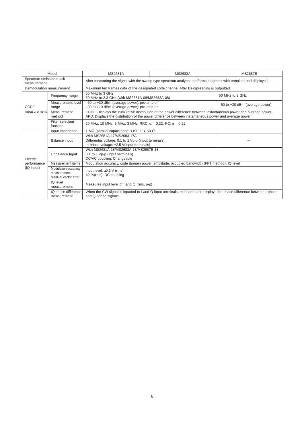| Model                                 |                                                                                                                     | MS2681A                                                                                                                                                                                                                    | <b>MS2683A</b> | <b>MS2687B</b>                 |  |
|---------------------------------------|---------------------------------------------------------------------------------------------------------------------|----------------------------------------------------------------------------------------------------------------------------------------------------------------------------------------------------------------------------|----------------|--------------------------------|--|
| Spectrum emission mask<br>measurement |                                                                                                                     | After measuring the signal with the sweep type spectrum analyzer, performs judgment with template and displays it.                                                                                                         |                |                                |  |
|                                       | Maximum ten frames data of the designated code channel After De-Spreading is outputted.<br>Demodulation measurement |                                                                                                                                                                                                                            |                |                                |  |
| CCDF<br>measurement                   | Frequency range                                                                                                     | 50 MHz to 3 GHz<br>50 MHz to 2.3 GHz (with MS2681A-08/MS2683A-08)                                                                                                                                                          |                | 50 MHz to 3 GHz                |  |
|                                       | Measurement level<br>range                                                                                          | -60 to +30 dBm (average power): pre-amp off<br>-80 to +10 dBm (average power): pre-amp on                                                                                                                                  |                | -50 to +30 dBm (average power) |  |
|                                       | Measurement<br>method                                                                                               | CCDF: Displays the cumulative distribution of the power difference between instantaneous power and average power.<br>APD: Displays the distribution of the power difference between instantaneous power and average power. |                |                                |  |
|                                       | Filter selection<br>function                                                                                        | 20 MHz, 10 MHz, 5 MHz, 3 MHz, RRC: $\alpha$ = 0.22, RC: $\alpha$ = 0.22                                                                                                                                                    |                |                                |  |
|                                       | Input impedance                                                                                                     | 1 M $\Omega$ (parallel capacitance: <100 pF), 50 $\Omega$                                                                                                                                                                  |                |                                |  |
|                                       | Balance input                                                                                                       | With MS2681A-17/MS2683-17A<br>Differential voltage: 0.1 to 1 Vp-p (input terminals)<br>In-phase voltage: ±2.5 V(input terminals)                                                                                           |                |                                |  |
| Electric                              | Unbalance Input                                                                                                     | With MS2681A-18/MS2683A-18/MS2687B-18<br>0.1 to 1 Vp-p (input terminals)<br>DC/AC coupling: Changeable                                                                                                                     |                |                                |  |
| performance                           | Measurement items                                                                                                   | Modulation accuracy, code domain power, amplitude, occupied bandwidth (FFT method), IQ level                                                                                                                               |                |                                |  |
| (IQ input)                            | Modulation accuracy<br>measurement<br>residual vector error                                                         | Input level: $\geq$ 0.1 V (rms)<br><2 %(rms), DC coupling                                                                                                                                                                  |                |                                |  |
|                                       | IQ level<br>measurement                                                                                             | Measures input level of I and Q (rms, p-p)                                                                                                                                                                                 |                |                                |  |
|                                       | IQ phase difference<br>measurement                                                                                  | When the CW signal is inputted to I and Q input terminals, measures and displays the phase difference between I-phase<br>and Q-phase signals.                                                                              |                |                                |  |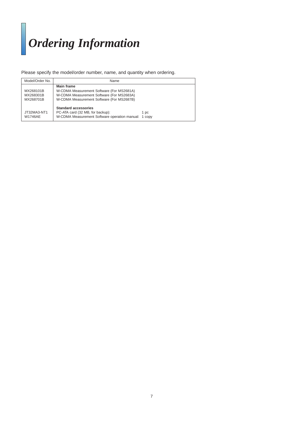# *Ordering Information*

Please specify the model/order number, name, and quantity when ordering.

| Model/Order No.                     | Name                                                                                                                                              |      |
|-------------------------------------|---------------------------------------------------------------------------------------------------------------------------------------------------|------|
| MX268101B<br>MX268301B<br>MX268701B | Main frame<br>W-CDMA Measurement Software (For MS2681A)<br>W-CDMA Measurement Software (For MS2683A)<br>W-CDMA Measurement Software (For MS2687B) |      |
| JT32MA3-NT1<br><b>W1746AE</b>       | <b>Standard accessories</b><br>PC-ATA card (32 MB, for backup):<br>W-CDMA Measurement Software operation manual: 1 copy                           | 1 pc |